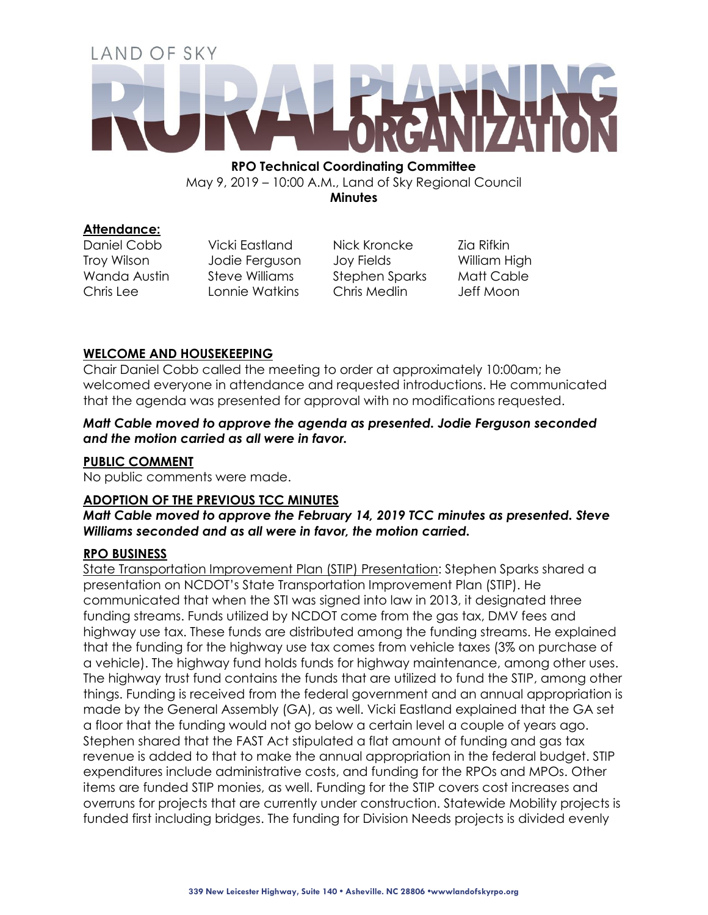# LAND OF SKY

**RPO Technical Coordinating Committee**  May 9, 2019 – 10:00 A.M., Land of Sky Regional Council **Minutes**

**Attendance:**

Daniel Cobb Vicki Eastland Nick Kroncke Zia Rifkin Troy Wilson Jodie Ferguson Joy Fields William High Wanda Austin Steve Williams Stephen Sparks Matt Cable Chris Lee Lonnie Watkins Chris Medlin Jeff Moon

# **WELCOME AND HOUSEKEEPING**

Chair Daniel Cobb called the meeting to order at approximately 10:00am; he welcomed everyone in attendance and requested introductions. He communicated that the agenda was presented for approval with no modifications requested.

*Matt Cable moved to approve the agenda as presented. Jodie Ferguson seconded and the motion carried as all were in favor.*

# **PUBLIC COMMENT**

No public comments were made.

# **ADOPTION OF THE PREVIOUS TCC MINUTES**

*Matt Cable moved to approve the February 14, 2019 TCC minutes as presented. Steve Williams seconded and as all were in favor, the motion carried.*

# **RPO BUSINESS**

State Transportation Improvement Plan (STIP) Presentation: Stephen Sparks shared a presentation on NCDOT's State Transportation Improvement Plan (STIP). He communicated that when the STI was signed into law in 2013, it designated three funding streams. Funds utilized by NCDOT come from the gas tax, DMV fees and highway use tax. These funds are distributed among the funding streams. He explained that the funding for the highway use tax comes from vehicle taxes (3% on purchase of a vehicle). The highway fund holds funds for highway maintenance, among other uses. The highway trust fund contains the funds that are utilized to fund the STIP, among other things. Funding is received from the federal government and an annual appropriation is made by the General Assembly (GA), as well. Vicki Eastland explained that the GA set a floor that the funding would not go below a certain level a couple of years ago. Stephen shared that the FAST Act stipulated a flat amount of funding and gas tax revenue is added to that to make the annual appropriation in the federal budget. STIP expenditures include administrative costs, and funding for the RPOs and MPOs. Other items are funded STIP monies, as well. Funding for the STIP covers cost increases and overruns for projects that are currently under construction. Statewide Mobility projects is funded first including bridges. The funding for Division Needs projects is divided evenly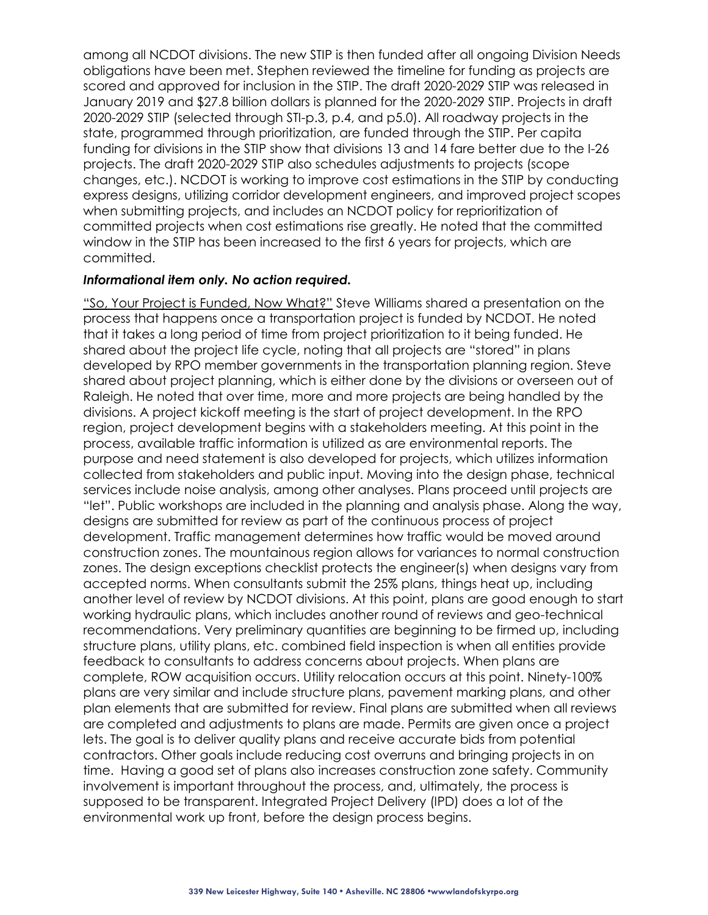among all NCDOT divisions. The new STIP is then funded after all ongoing Division Needs obligations have been met. Stephen reviewed the timeline for funding as projects are scored and approved for inclusion in the STIP. The draft 2020-2029 STIP was released in January 2019 and \$27.8 billion dollars is planned for the 2020-2029 STIP. Projects in draft 2020-2029 STIP (selected through STI-p.3, p.4, and p5.0). All roadway projects in the state, programmed through prioritization, are funded through the STIP. Per capita funding for divisions in the STIP show that divisions 13 and 14 fare better due to the I-26 projects. The draft 2020-2029 STIP also schedules adjustments to projects (scope changes, etc.). NCDOT is working to improve cost estimations in the STIP by conducting express designs, utilizing corridor development engineers, and improved project scopes when submitting projects, and includes an NCDOT policy for reprioritization of committed projects when cost estimations rise greatly. He noted that the committed window in the STIP has been increased to the first 6 years for projects, which are committed.

### *Informational item only. No action required.*

"So, Your Project is Funded, Now What?" Steve Williams shared a presentation on the process that happens once a transportation project is funded by NCDOT. He noted that it takes a long period of time from project prioritization to it being funded. He shared about the project life cycle, noting that all projects are "stored" in plans developed by RPO member governments in the transportation planning region. Steve shared about project planning, which is either done by the divisions or overseen out of Raleigh. He noted that over time, more and more projects are being handled by the divisions. A project kickoff meeting is the start of project development. In the RPO region, project development begins with a stakeholders meeting. At this point in the process, available traffic information is utilized as are environmental reports. The purpose and need statement is also developed for projects, which utilizes information collected from stakeholders and public input. Moving into the design phase, technical services include noise analysis, among other analyses. Plans proceed until projects are "let". Public workshops are included in the planning and analysis phase. Along the way, designs are submitted for review as part of the continuous process of project development. Traffic management determines how traffic would be moved around construction zones. The mountainous region allows for variances to normal construction zones. The design exceptions checklist protects the engineer(s) when designs vary from accepted norms. When consultants submit the 25% plans, things heat up, including another level of review by NCDOT divisions. At this point, plans are good enough to start working hydraulic plans, which includes another round of reviews and geo-technical recommendations. Very preliminary quantities are beginning to be firmed up, including structure plans, utility plans, etc. combined field inspection is when all entities provide feedback to consultants to address concerns about projects. When plans are complete, ROW acquisition occurs. Utility relocation occurs at this point. Ninety-100% plans are very similar and include structure plans, pavement marking plans, and other plan elements that are submitted for review. Final plans are submitted when all reviews are completed and adjustments to plans are made. Permits are given once a project lets. The goal is to deliver quality plans and receive accurate bids from potential contractors. Other goals include reducing cost overruns and bringing projects in on time. Having a good set of plans also increases construction zone safety. Community involvement is important throughout the process, and, ultimately, the process is supposed to be transparent. Integrated Project Delivery (IPD) does a lot of the environmental work up front, before the design process begins.